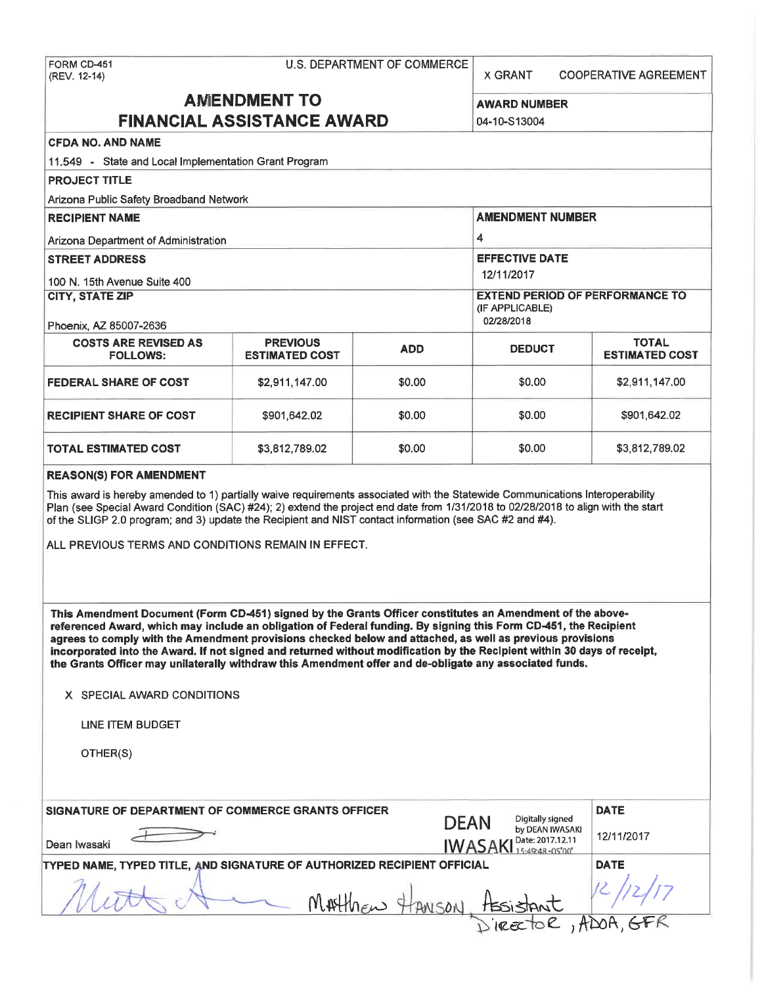FORM CD-451<br>(REV. 12-14)

| U.S. DEPARTMENT OF COMMERCE |  |
|-----------------------------|--|
|-----------------------------|--|

X GRANT COOPERATIVE AGREEMENT

## **AMENDMENT TO** AWARD NUMBER **FINANCIAL ASSISTANCE AWARD 104-10-S13004**

11.549 - State and Local Implementation Grant Program **PROJECT TITLE** 

Arizona Public Safety Broadband Network

# **RECIPIENT NAME** AMENDAME AMENDAMENT NUMBER Arizona Department of Administration 4 **STREET ADDRESS EFFECTIVE DATE**  100 N. 15th Avenue Suite 400 12/11/2017 **CITY, STATE ZIP** EXTEND PERIOD OF PERFORMANCE TO (IF APPLICABLE) Phoenix, AZ 85007-2636 02/28/2018 **COSTS ARE REVISED AS PREVIOUS ADD** DEDUCT FOLLOWS:<br>
POLLOWS: ESTIMATED COST ADD DEDUCT ESTIMATED COST **ESTIMATED COST FEDERAL SHARE OF COST**  $$2,911,147.00$  $$0.00$  $$2,911,147.00$ **RECIPIENT SHARE OF COST**  $\begin{array}{|c|c|c|c|c|c|c|c|c|} \hline \text{$0.00} & \text{$0.00} & \text{$0.00} & \text{$0.901,642.02} \hline \end{array}$ **TOTAL ESTIMATED COST**  $$3.812.789.02$  $$0.00$  **\$0.00 \$3,812,789.02**

#### **REASON(S) FOR AMENDMENT**

This award is hereby amended to 1) partially waive requirements associated with the Statewide Communications Interoperability Plan (see Special Award Condition (SAC) #24); 2) extend the project end date from 1/31/2018 to 02/28/2018 to align with the start of the SLIGP 2.0 program; and 3) update the Recipient and NIST contact information (see SAC #2 and #4).

ALL PREVIOUS TERMS AND CONDITIONS REMAIN IN EFFECT.

**This Amendment Document (Form CD-451) signed by the Grants Officer constitutes an Amendment of the abovereferenced Award, which may include an obligation of Federal funding. By signing this Form CD-451, the Recipient agrees to comply with the Amendment provisions checked below and attached, as well as previous provisions incorporated into the Award. If not signed and returned without modification by the Recipient within 30 days of receipt, the Grants Officer may unilaterally withdraw this Amendment offer and de-obligate any associated funds.** 

**X** SPECIAL AWARD CONDITIONS

LINE ITEM BUDGET

OTHER(S)

| SIGNATURE OF DEPARTMENT OF COMMERCE GRANTS OFFICER                      | <b>DATE</b>                                                                                               |            |
|-------------------------------------------------------------------------|-----------------------------------------------------------------------------------------------------------|------------|
| Dean Iwasaki                                                            | Digitally signed<br><b>DEAN</b><br>by DEAN IWASAKI<br>Date: 2017.12.11<br><b>IWASAK</b><br>15:49:48.05:00 | 12/11/2017 |
| TYPED NAME, TYPED TITLE, AND SIGNATURE OF AUTHORIZED RECIPIENT OFFICIAL | <b>DATE</b>                                                                                               |            |
| MAHlben                                                                 | <u>Hssistant</u>                                                                                          |            |
|                                                                         |                                                                                                           |            |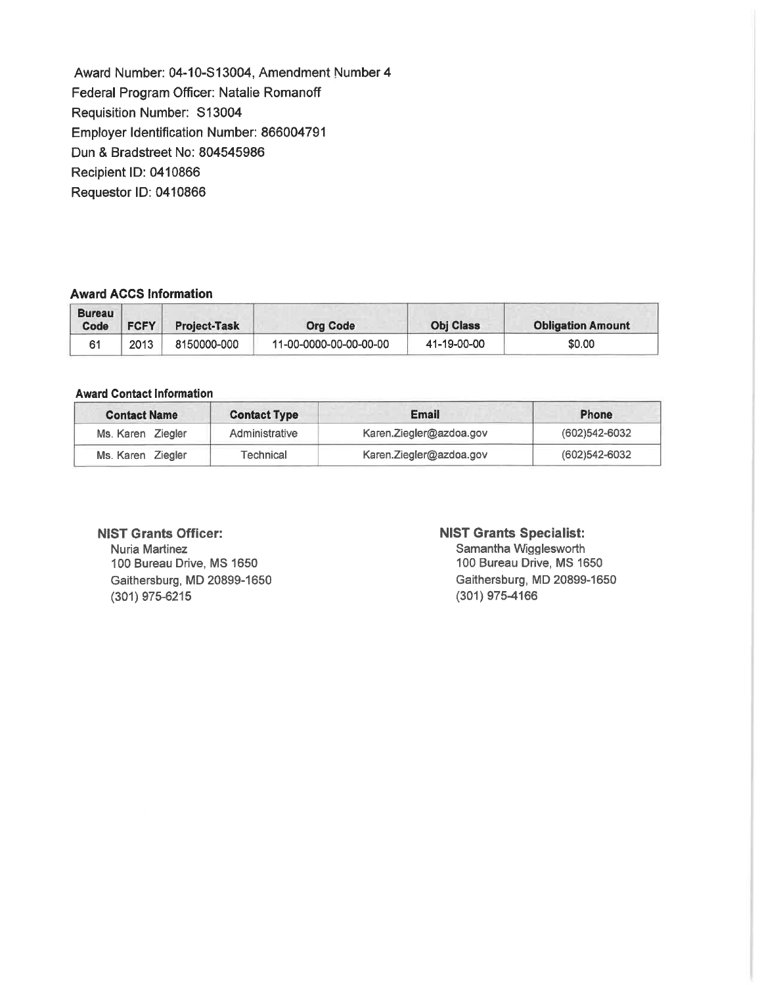Award Number: 04-10-S13004, Amendment Number **4**  Federal Program Officer: Natalie Romanoff Requisition Number: S13004 Employer Identification Number: 866004791 Dun & Bradstreet No: 804545986 Recipient ID: 0410866 Requestor ID: 0410866

#### **Award ACCS Information**

| <b>Bureau</b><br>Code | <b>FCFY</b> | <b>Project-Task</b> | <b>Org Code</b>        | <b>Obj Class</b> | <b>Obligation Amount</b> |
|-----------------------|-------------|---------------------|------------------------|------------------|--------------------------|
|                       | 2013        | 8150000-000         | 11-00-0000-00-00-00-00 | 41-19-00-00      | \$0.00                   |

#### **Award Contact Information**

| <b>Contact Name</b> | <b>Contact Type</b> | Email                   | <b>Phone</b>  |
|---------------------|---------------------|-------------------------|---------------|
| Ms. Karen Ziegler   | Administrative      | Karen.Ziegler@azdoa.gov | (602)542-6032 |
| Ms. Karen Ziegler   | Technical           | Karen.Ziegler@azdoa.gov | (602)542-6032 |

#### **NIST Grants Officer:**

Nuria Martinez 100 Bureau Drive, MS 1650 Gaithersburg, MD 20899-1650 (301) 975-6215

#### **NIST Grants Specialist:**

Samantha Wigglesworth 100 Bureau Drive, MS 1650 Gaithersburg, MD 20899-1650 (301) 975-4166